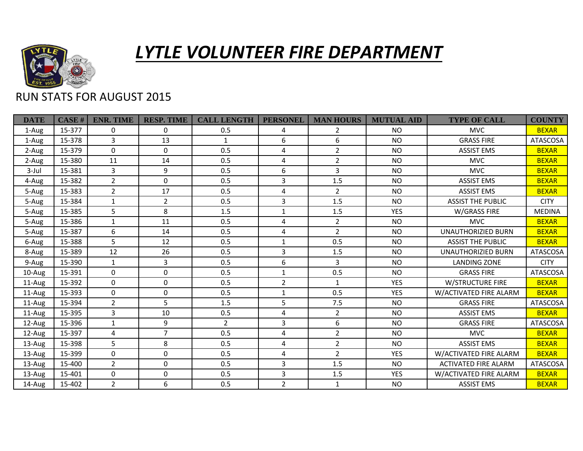

## *LYTLE VOLUNTEER FIRE DEPARTMENT*

## RUN STATS FOR AUGUST 2015

| <b>DATE</b> | CASE H | <b>ENR. TIME</b> | <b>RESP. TIME</b> | <b>CALL LENGTH</b> | <b>PERSONEL</b> | <b>MAN HOURS</b> | <b>MUTUAL AID</b> | <b>TYPE OF CALL</b>         | <b>COUNTY</b>   |
|-------------|--------|------------------|-------------------|--------------------|-----------------|------------------|-------------------|-----------------------------|-----------------|
| 1-Aug       | 15-377 | 0                | $\Omega$          | 0.5                | 4               | $\overline{2}$   | <b>NO</b>         | <b>MVC</b>                  | <b>BEXAR</b>    |
| 1-Aug       | 15-378 | 3                | 13                | $\mathbf{1}$       | 6               | 6                | <b>NO</b>         | <b>GRASS FIRE</b>           | <b>ATASCOSA</b> |
| 2-Aug       | 15-379 | $\mathbf 0$      | $\mathbf 0$       | 0.5                | 4               | $\overline{2}$   | <b>NO</b>         | <b>ASSIST EMS</b>           | <b>BEXAR</b>    |
| 2-Aug       | 15-380 | 11               | 14                | 0.5                | 4               | $\overline{2}$   | <b>NO</b>         | <b>MVC</b>                  | <b>BEXAR</b>    |
| $3$ -Jul    | 15-381 | 3                | 9                 | 0.5                | 6               | $\overline{3}$   | <b>NO</b>         | <b>MVC</b>                  | <b>BEXAR</b>    |
| 4-Aug       | 15-382 | $\overline{2}$   | $\mathbf{0}$      | 0.5                | 3               | 1.5              | <b>NO</b>         | <b>ASSIST EMS</b>           | <b>BEXAR</b>    |
| 5-Aug       | 15-383 | $\overline{2}$   | 17                | 0.5                | 4               | $\overline{2}$   | <b>NO</b>         | <b>ASSIST EMS</b>           | <b>BEXAR</b>    |
| 5-Aug       | 15-384 | $\mathbf{1}$     | $\overline{2}$    | 0.5                | 3               | 1.5              | <b>NO</b>         | <b>ASSIST THE PUBLIC</b>    | <b>CITY</b>     |
| 5-Aug       | 15-385 | 5                | 8                 | 1.5                | 1               | 1.5              | <b>YES</b>        | W/GRASS FIRE                | <b>MEDINA</b>   |
| 5-Aug       | 15-386 | 1                | 11                | 0.5                | 4               | $\mathbf{2}$     | <b>NO</b>         | <b>MVC</b>                  | <b>BEXAR</b>    |
| 5-Aug       | 15-387 | 6                | 14                | 0.5                | 4               | $\overline{2}$   | <b>NO</b>         | <b>UNAUTHORIZIED BURN</b>   | <b>BEXAR</b>    |
| 6-Aug       | 15-388 | 5                | 12                | 0.5                | $\mathbf{1}$    | 0.5              | <b>NO</b>         | <b>ASSIST THE PUBLIC</b>    | <b>BEXAR</b>    |
| 8-Aug       | 15-389 | 12               | 26                | 0.5                | 3               | 1.5              | <b>NO</b>         | UNAUTHORIZIED BURN          | <b>ATASCOSA</b> |
| 9-Aug       | 15-390 | 1                | 3                 | 0.5                | 6               | 3                | <b>NO</b>         | <b>LANDING ZONE</b>         | <b>CITY</b>     |
| $10$ -Aug   | 15-391 | $\Omega$         | $\mathbf 0$       | 0.5                | $\mathbf{1}$    | 0.5              | <b>NO</b>         | <b>GRASS FIRE</b>           | <b>ATASCOSA</b> |
| $11-Au$ g   | 15-392 | $\mathbf{0}$     | $\Omega$          | 0.5                | $\overline{2}$  | $\mathbf{1}$     | <b>YES</b>        | <b>W/STRUCTURE FIRE</b>     | <b>BEXAR</b>    |
| $11$ -Aug   | 15-393 | $\Omega$         | 0                 | 0.5                | $\mathbf{1}$    | 0.5              | <b>YES</b>        | W/ACTIVATED FIRE ALARM      | <b>BEXAR</b>    |
| $11$ -Aug   | 15-394 | $\overline{2}$   | 5                 | 1.5                | 5               | 7.5              | <b>NO</b>         | <b>GRASS FIRE</b>           | <b>ATASCOSA</b> |
| 11-Aug      | 15-395 | 3                | 10                | 0.5                | 4               | $\overline{2}$   | <b>NO</b>         | <b>ASSIST EMS</b>           | <b>BEXAR</b>    |
| 12-Aug      | 15-396 | $\mathbf{1}$     | 9                 | $\overline{2}$     | 3               | 6                | <b>NO</b>         | <b>GRASS FIRE</b>           | <b>ATASCOSA</b> |
| 12-Aug      | 15-397 | 4                | $\overline{7}$    | 0.5                | 4               | $\overline{2}$   | <b>NO</b>         | <b>MVC</b>                  | <b>BEXAR</b>    |
| $13$ -Aug   | 15-398 | 5                | 8                 | 0.5                | 4               | $\overline{2}$   | <b>NO</b>         | <b>ASSIST EMS</b>           | <b>BEXAR</b>    |
| 13-Aug      | 15-399 | $\Omega$         | 0                 | 0.5                | 4               | $\overline{2}$   | <b>YES</b>        | W/ACTIVATED FIRE ALARM      | <b>BEXAR</b>    |
| 13-Aug      | 15-400 | $\overline{2}$   | $\mathbf 0$       | 0.5                | 3               | 1.5              | <b>NO</b>         | <b>ACTIVATED FIRE ALARM</b> | <b>ATASCOSA</b> |
| $13$ -Aug   | 15-401 | $\Omega$         | $\mathbf 0$       | 0.5                | 3               | 1.5              | <b>YES</b>        | W/ACTIVATED FIRE ALARM      | <b>BEXAR</b>    |
| 14-Aug      | 15-402 | $\overline{2}$   | 6                 | 0.5                | $\overline{2}$  | $\mathbf{1}$     | <b>NO</b>         | <b>ASSIST EMS</b>           | <b>BEXAR</b>    |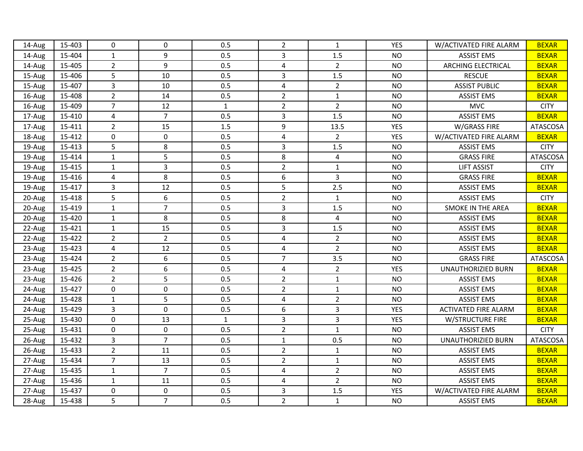| 14-Aug | 15-403 | $\Omega$       | $\mathbf 0$    | 0.5          | $\overline{2}$          | $\mathbf{1}$   | YES        | W/ACTIVATED FIRE ALARM      | <b>BEXAR</b>    |
|--------|--------|----------------|----------------|--------------|-------------------------|----------------|------------|-----------------------------|-----------------|
| 14-Aug | 15-404 | 1              | 9              | 0.5          | $\overline{3}$          | 1.5            | <b>NO</b>  | <b>ASSIST EMS</b>           | <b>BEXAR</b>    |
| 14-Aug | 15-405 | $\overline{2}$ | 9              | 0.5          | 4                       | $\overline{2}$ | <b>NO</b>  | <b>ARCHING ELECTRICAL</b>   | <b>BEXAR</b>    |
| 15-Aug | 15-406 | 5              | 10             | 0.5          | 3                       | 1.5            | <b>NO</b>  | <b>RESCUE</b>               | <b>BEXAR</b>    |
| 15-Aug | 15-407 | $\overline{3}$ | 10             | 0.5          | $\overline{\mathbf{4}}$ | $\overline{2}$ | <b>NO</b>  | <b>ASSIST PUBLIC</b>        | <b>BEXAR</b>    |
| 16-Aug | 15-408 | $\overline{2}$ | 14             | 0.5          | $\overline{2}$          | $\mathbf{1}$   | <b>NO</b>  | <b>ASSIST EMS</b>           | <b>BEXAR</b>    |
| 16-Aug | 15-409 | $\overline{7}$ | 12             | $\mathbf{1}$ | $\overline{2}$          | $\overline{2}$ | <b>NO</b>  | <b>MVC</b>                  | <b>CITY</b>     |
| 17-Aug | 15-410 | $\overline{4}$ | $\overline{7}$ | 0.5          | $\overline{3}$          | 1.5            | <b>NO</b>  | <b>ASSIST EMS</b>           | <b>BEXAR</b>    |
| 17-Aug | 15-411 | $\overline{2}$ | 15             | 1.5          | $\boldsymbol{9}$        | 13.5           | <b>YES</b> | W/GRASS FIRE                | <b>ATASCOSA</b> |
| 18-Aug | 15-412 | $\mathbf 0$    | $\mathbf 0$    | 0.5          | $\overline{4}$          | $\overline{2}$ | <b>YES</b> | W/ACTIVATED FIRE ALARM      | <b>BEXAR</b>    |
| 19-Aug | 15-413 | 5              | 8              | 0.5          | $\overline{3}$          | 1.5            | <b>NO</b>  | <b>ASSIST EMS</b>           | <b>CITY</b>     |
| 19-Aug | 15-414 | $\mathbf{1}$   | 5              | 0.5          | 8                       | $\overline{4}$ | <b>NO</b>  | <b>GRASS FIRE</b>           | <b>ATASCOSA</b> |
| 19-Aug | 15-415 | $\mathbf{1}$   | 3              | 0.5          | $\overline{2}$          | $\mathbf{1}$   | <b>NO</b>  | <b>LIFT ASSIST</b>          | <b>CITY</b>     |
| 19-Aug | 15-416 | $\overline{4}$ | 8              | 0.5          | $\boldsymbol{6}$        | $\overline{3}$ | <b>NO</b>  | <b>GRASS FIRE</b>           | <b>BEXAR</b>    |
| 19-Aug | 15-417 | $\overline{3}$ | 12             | 0.5          | 5                       | 2.5            | <b>NO</b>  | <b>ASSIST EMS</b>           | <b>BEXAR</b>    |
| 20-Aug | 15-418 | 5              | 6              | 0.5          | $\overline{2}$          | $\mathbf{1}$   | <b>NO</b>  | <b>ASSIST EMS</b>           | <b>CITY</b>     |
| 20-Aug | 15-419 | $\mathbf{1}$   | $\overline{7}$ | 0.5          | $\overline{3}$          | 1.5            | <b>NO</b>  | <b>SMOKE IN THE AREA</b>    | <b>BEXAR</b>    |
| 20-Aug | 15-420 | $\mathbf{1}$   | 8              | 0.5          | 8                       | $\overline{4}$ | <b>NO</b>  | <b>ASSIST EMS</b>           | <b>BEXAR</b>    |
| 22-Aug | 15-421 | $\mathbf{1}$   | 15             | 0.5          | 3                       | 1.5            | <b>NO</b>  | <b>ASSIST EMS</b>           | <b>BEXAR</b>    |
| 22-Aug | 15-422 | $\overline{2}$ | $\overline{2}$ | 0.5          | 4                       | $\overline{2}$ | <b>NO</b>  | <b>ASSIST EMS</b>           | <b>BEXAR</b>    |
| 23-Aug | 15-423 | $\overline{4}$ | 12             | 0.5          | 4                       | $\overline{2}$ | <b>NO</b>  | <b>ASSIST EMS</b>           | <b>BEXAR</b>    |
| 23-Aug | 15-424 | $\overline{2}$ | 6              | 0.5          | $\overline{7}$          | 3.5            | <b>NO</b>  | <b>GRASS FIRE</b>           | <b>ATASCOSA</b> |
| 23-Aug | 15-425 | $\overline{2}$ | 6              | 0.5          | $\overline{4}$          | $\overline{2}$ | YES        | UNAUTHORIZIED BURN          | <b>BEXAR</b>    |
| 23-Aug | 15-426 | $\overline{2}$ | 5              | 0.5          | $\overline{2}$          | $\mathbf 1$    | <b>NO</b>  | <b>ASSIST EMS</b>           | <b>BEXAR</b>    |
| 24-Aug | 15-427 | $\mathbf 0$    | 0              | 0.5          | $\overline{2}$          | $\mathbf{1}$   | <b>NO</b>  | <b>ASSIST EMS</b>           | <b>BEXAR</b>    |
| 24-Aug | 15-428 | $\mathbf 1$    | 5              | 0.5          | $\overline{\mathbf{4}}$ | $\overline{2}$ | <b>NO</b>  | <b>ASSIST EMS</b>           | <b>BEXAR</b>    |
| 24-Aug | 15-429 | $\overline{3}$ | $\mathbf 0$    | 0.5          | $\boldsymbol{6}$        | $\overline{3}$ | <b>YES</b> | <b>ACTIVATED FIRE ALARM</b> | <b>BEXAR</b>    |
| 25-Aug | 15-430 | $\mathbf 0$    | 13             | $\mathbf{1}$ | $\overline{3}$          | $\overline{3}$ | <b>YES</b> | <b>W/STRUCTURE FIRE</b>     | <b>BEXAR</b>    |
| 25-Aug | 15-431 | $\mathbf 0$    | $\mathbf 0$    | 0.5          | $\overline{2}$          | $\mathbf{1}$   | <b>NO</b>  | <b>ASSIST EMS</b>           | <b>CITY</b>     |
| 26-Aug | 15-432 | $\overline{3}$ | $\overline{7}$ | 0.5          | $\mathbf{1}$            | 0.5            | <b>NO</b>  | <b>UNAUTHORIZIED BURN</b>   | <b>ATASCOSA</b> |
| 26-Aug | 15-433 | $\overline{2}$ | 11             | 0.5          | $\overline{2}$          | $\mathbf{1}$   | <b>NO</b>  | <b>ASSIST EMS</b>           | <b>BEXAR</b>    |
| 27-Aug | 15-434 | $\overline{7}$ | 13             | 0.5          | $\overline{2}$          | $\mathbf{1}$   | <b>NO</b>  | <b>ASSIST EMS</b>           | <b>BEXAR</b>    |
| 27-Aug | 15-435 | $\mathbf{1}$   | $\overline{7}$ | 0.5          | $\overline{4}$          | $\overline{2}$ | <b>NO</b>  | <b>ASSIST EMS</b>           | <b>BEXAR</b>    |
| 27-Aug | 15-436 | $\mathbf{1}$   | 11             | 0.5          | $\overline{4}$          | $\overline{2}$ | <b>NO</b>  | <b>ASSIST EMS</b>           | <b>BEXAR</b>    |
| 27-Aug | 15-437 | $\mathbf 0$    | 0              | 0.5          | 3                       | 1.5            | <b>YES</b> | W/ACTIVATED FIRE ALARM      | <b>BEXAR</b>    |
| 28-Aug | 15-438 | 5              | $\overline{7}$ | 0.5          | $\overline{2}$          | $\mathbf 1$    | <b>NO</b>  | <b>ASSIST EMS</b>           | <b>BEXAR</b>    |